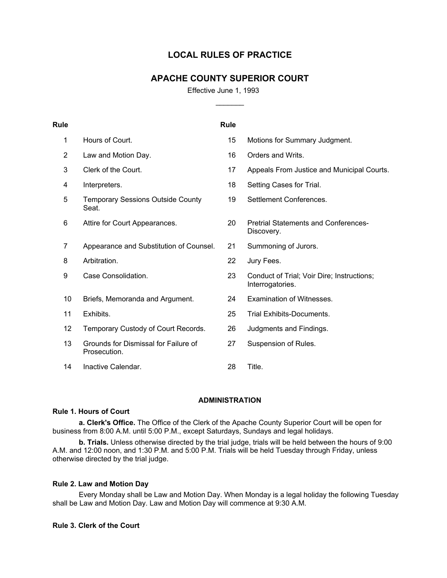# **LOCAL RULES OF PRACTICE**

# **APACHE COUNTY SUPERIOR COURT**

 $\mathcal{L}$ 

Effective June 1, 1993

| <b>Rule</b> |                                                      | <b>Rule</b> |                                                                |
|-------------|------------------------------------------------------|-------------|----------------------------------------------------------------|
| 1           | Hours of Court.                                      | 15          | Motions for Summary Judgment.                                  |
| 2           | Law and Motion Day.                                  | 16          | Orders and Writs.                                              |
| 3           | Clerk of the Court.                                  | 17          | Appeals From Justice and Municipal Courts.                     |
| 4           | Interpreters.                                        | 18          | Setting Cases for Trial.                                       |
| 5           | <b>Temporary Sessions Outside County</b><br>Seat.    | 19          | Settlement Conferences.                                        |
| 6           | Attire for Court Appearances.                        | 20          | <b>Pretrial Statements and Conferences-</b><br>Discovery.      |
| 7           | Appearance and Substitution of Counsel.              | 21          | Summoning of Jurors.                                           |
| 8           | Arbitration.                                         | 22          | Jury Fees.                                                     |
| 9           | Case Consolidation.                                  | 23          | Conduct of Trial; Voir Dire; Instructions;<br>Interrogatories. |
| 10          | Briefs, Memoranda and Argument.                      | 24          | Examination of Witnesses.                                      |
| 11          | Exhibits.                                            | 25          | Trial Exhibits-Documents.                                      |
| 12          | Temporary Custody of Court Records.                  | 26          | Judgments and Findings.                                        |
| 13          | Grounds for Dismissal for Failure of<br>Prosecution. | 27          | Suspension of Rules.                                           |
| 14          | Inactive Calendar.                                   | 28          | Title.                                                         |

# **ADMINISTRATION**

# **Rule 1. Hours of Court**

 **a. Clerk's Office.** The Office of the Clerk of the Apache County Superior Court will be open for business from 8:00 A.M. until 5:00 P.M., except Saturdays, Sundays and legal holidays.

 **b. Trials.** Unless otherwise directed by the trial judge, trials will be held between the hours of 9:00 A.M. and 12:00 noon, and 1:30 P.M. and 5:00 P.M. Trials will be held Tuesday through Friday, unless otherwise directed by the trial judge.

# **Rule 2. Law and Motion Day**

 Every Monday shall be Law and Motion Day. When Monday is a legal holiday the following Tuesday shall be Law and Motion Day. Law and Motion Day will commence at 9:30 A.M.

# **Rule 3. Clerk of the Court**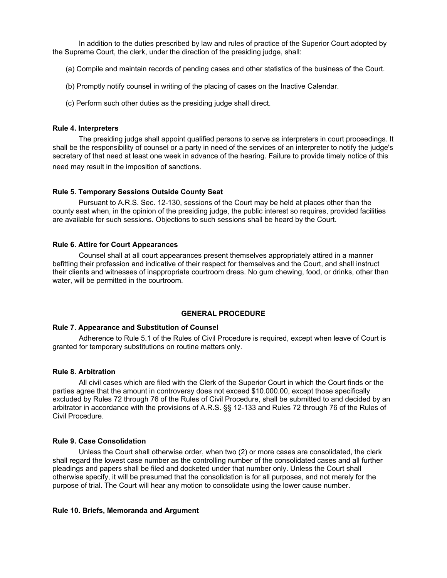In addition to the duties prescribed by law and rules of practice of the Superior Court adopted by the Supreme Court, the clerk, under the direction of the presiding judge, shall:

- (a) Compile and maintain records of pending cases and other statistics of the business of the Court.
- (b) Promptly notify counsel in writing of the placing of cases on the Inactive Calendar.
- (c) Perform such other duties as the presiding judge shall direct.

### **Rule 4. Interpreters**

 The presiding judge shall appoint qualified persons to serve as interpreters in court proceedings. It shall be the responsibility of counsel or a party in need of the services of an interpreter to notify the judge's secretary of that need at least one week in advance of the hearing. Failure to provide timely notice of this need may result in the imposition of sanctions.

#### **Rule 5. Temporary Sessions Outside County Seat**

 Pursuant to A.R.S. Sec. 12-130, sessions of the Court may be held at places other than the county seat when, in the opinion of the presiding judge, the public interest so requires, provided facilities are available for such sessions. Objections to such sessions shall be heard by the Court.

## **Rule 6. Attire for Court Appearances**

 Counsel shall at all court appearances present themselves appropriately attired in a manner befitting their profession and indicative of their respect for themselves and the Court, and shall instruct their clients and witnesses of inappropriate courtroom dress. No gum chewing, food, or drinks, other than water, will be permitted in the courtroom.

# **GENERAL PROCEDURE**

#### **Rule 7. Appearance and Substitution of Counsel**

 Adherence to Rule 5.1 of the Rules of Civil Procedure is required, except when leave of Court is granted for temporary substitutions on routine matters only.

#### **Rule 8. Arbitration**

 All civil cases which are filed with the Clerk of the Superior Court in which the Court finds or the parties agree that the amount in controversy does not exceed \$10.000.00, except those specifically excluded by Rules 72 through 76 of the Rules of Civil Procedure, shall be submitted to and decided by an arbitrator in accordance with the provisions of A.R.S. §§ 12-133 and Rules 72 through 76 of the Rules of Civil Procedure.

#### **Rule 9. Case Consolidation**

 Unless the Court shall otherwise order, when two (2) or more cases are consolidated, the clerk shall regard the lowest case number as the controlling number of the consolidated cases and all further pleadings and papers shall be filed and docketed under that number only. Unless the Court shall otherwise specify, it will be presumed that the consolidation is for all purposes, and not merely for the purpose of trial. The Court will hear any motion to consolidate using the lower cause number.

#### **Rule 10. Briefs, Memoranda and Argument**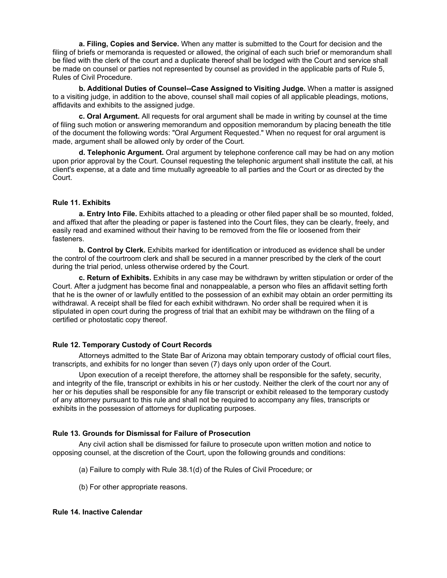**a. Filing, Copies and Service.** When any matter is submitted to the Court for decision and the filing of briefs or memoranda is requested or allowed, the original of each such brief or memorandum shall be filed with the clerk of the court and a duplicate thereof shall be lodged with the Court and service shall be made on counsel or parties not represented by counsel as provided in the applicable parts of Rule 5, Rules of Civil Procedure.

 **b. Additional Duties of Counsel--Case Assigned to Visiting Judge.** When a matter is assigned to a visiting judge, in addition to the above, counsel shall mail copies of all applicable pleadings, motions, affidavits and exhibits to the assigned judge.

 **c. Oral Argument.** All requests for oral argument shall be made in writing by counsel at the time of filing such motion or answering memorandum and opposition memorandum by placing beneath the title of the document the following words: "Oral Argument Requested." When no request for oral argument is made, argument shall be allowed only by order of the Court.

 **d. Telephonic Argument.** Oral argument by telephone conference call may be had on any motion upon prior approval by the Court. Counsel requesting the telephonic argument shall institute the call, at his client's expense, at a date and time mutually agreeable to all parties and the Court or as directed by the Court.

# **Rule 11. Exhibits**

 **a. Entry Into File.** Exhibits attached to a pleading or other filed paper shall be so mounted, folded, and affixed that after the pleading or paper is fastened into the Court files, they can be clearly, freely, and easily read and examined without their having to be removed from the file or loosened from their fasteners.

 **b. Control by Clerk.** Exhibits marked for identification or introduced as evidence shall be under the control of the courtroom clerk and shall be secured in a manner prescribed by the clerk of the court during the trial period, unless otherwise ordered by the Court.

 **c. Return of Exhibits.** Exhibits in any case may be withdrawn by written stipulation or order of the Court. After a judgment has become final and nonappealable, a person who files an affidavit setting forth that he is the owner of or lawfully entitled to the possession of an exhibit may obtain an order permitting its withdrawal. A receipt shall be filed for each exhibit withdrawn. No order shall be required when it is stipulated in open court during the progress of trial that an exhibit may be withdrawn on the filing of a certified or photostatic copy thereof.

# **Rule 12. Temporary Custody of Court Records**

 Attorneys admitted to the State Bar of Arizona may obtain temporary custody of official court files, transcripts, and exhibits for no longer than seven (7) days only upon order of the Court.

 Upon execution of a receipt therefore, the attorney shall be responsible for the safety, security, and integrity of the file, transcript or exhibits in his or her custody. Neither the clerk of the court nor any of her or his deputies shall be responsible for any file transcript or exhibit released to the temporary custody of any attorney pursuant to this rule and shall not be required to accompany any files, transcripts or exhibits in the possession of attorneys for duplicating purposes.

## **Rule 13. Grounds for Dismissal for Failure of Prosecution**

 Any civil action shall be dismissed for failure to prosecute upon written motion and notice to opposing counsel, at the discretion of the Court, upon the following grounds and conditions:

- (a) Failure to comply with Rule 38.1(d) of the Rules of Civil Procedure; or
- (b) For other appropriate reasons.

# **Rule 14. Inactive Calendar**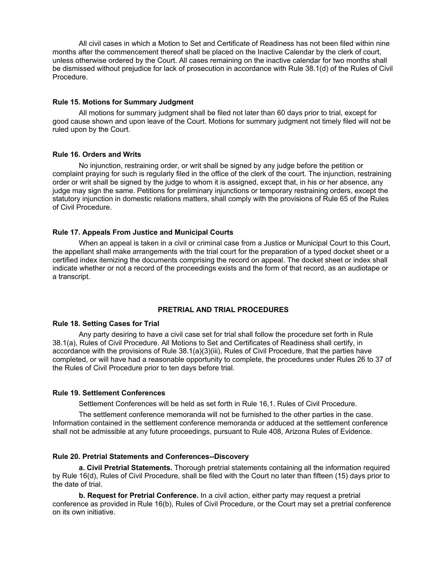All civil cases in which a Motion to Set and Certificate of Readiness has not been filed within nine months after the commencement thereof shall be placed on the Inactive Calendar by the clerk of court, unless otherwise ordered by the Court. All cases remaining on the inactive calendar for two months shall be dismissed without prejudice for lack of prosecution in accordance with Rule 38.1(d) of the Rules of Civil Procedure.

#### **Rule 15. Motions for Summary Judgment**

 All motions for summary judgment shall be filed not later than 60 days prior to trial, except for good cause shown and upon leave of the Court. Motions for summary judgment not timely filed will not be ruled upon by the Court.

#### **Rule 16. Orders and Writs**

 No injunction, restraining order, or writ shall be signed by any judge before the petition or complaint praying for such is regularly filed in the office of the clerk of the court. The injunction, restraining order or writ shall be signed by the judge to whom it is assigned, except that, in his or her absence, any judge may sign the same. Petitions for preliminary injunctions or temporary restraining orders, except the statutory injunction in domestic relations matters, shall comply with the provisions of Rule 65 of the Rules of Civil Procedure.

## **Rule 17. Appeals From Justice and Municipal Courts**

 When an appeal is taken in a civil or criminal case from a Justice or Municipal Court to this Court, the appellant shall make arrangements with the trial court for the preparation of a typed docket sheet or a certified index itemizing the documents comprising the record on appeal. The docket sheet or index shall indicate whether or not a record of the proceedings exists and the form of that record, as an audiotape or a transcript.

# **PRETRIAL AND TRIAL PROCEDURES**

#### **Rule 18. Setting Cases for Trial**

 Any party desiring to have a civil case set for trial shall follow the procedure set forth in Rule 38.1(a), Rules of Civil Procedure. All Motions to Set and Certificates of Readiness shall certify, in accordance with the provisions of Rule 38.1(a)(3)(iii), Rules of Civil Procedure, that the parties have completed, or will have had a reasonable opportunity to complete, the procedures under Rules 26 to 37 of the Rules of Civil Procedure prior to ten days before trial.

## **Rule 19. Settlement Conferences**

Settlement Conferences will be held as set forth in Rule 16,1. Rules of Civil Procedure.

 The settlement conference memoranda will not be furnished to the other parties in the case. Information contained in the settlement conference memoranda or adduced at the settlement conference shall not be admissible at any future proceedings, pursuant to Rule 408, Arizona Rules of Evidence.

# **Rule 20. Pretrial Statements and Conferences--Discovery**

**a. Civil Pretrial Statements.** Thorough pretrial statements containing all the information required by Rule 16(d), Rules of Civil Procedure, shall be filed with the Court no later than fifteen (15) days prior to the date of trial.

 **b. Request for Pretrial Conference.** In a civil action, either party may request a pretrial conference as provided in Rule 16(b), Rules of Civil Procedure, or the Court may set a pretrial conference on its own initiative.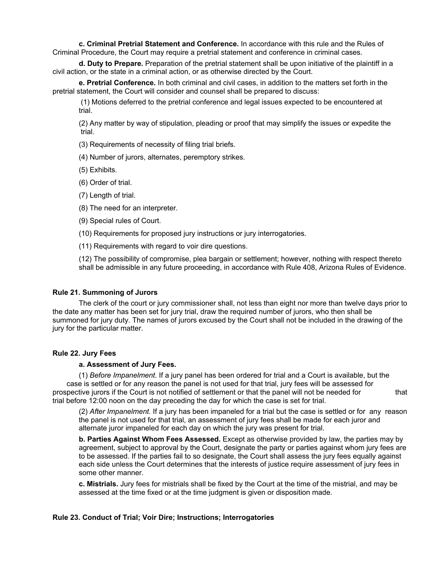**c. Criminal Pretrial Statement and Conference.** In accordance with this rule and the Rules of Criminal Procedure, the Court may require a pretrial statement and conference in criminal cases.

 **d. Duty to Prepare.** Preparation of the pretrial statement shall be upon initiative of the plaintiff in a civil action, or the state in a criminal action, or as otherwise directed by the Court.

 **e. Pretrial Conference.** In both criminal and civil cases, in addition to the matters set forth in the pretrial statement, the Court will consider and counsel shall be prepared to discuss:

 (1) Motions deferred to the pretrial conference and legal issues expected to be encountered at trial.

 (2) Any matter by way of stipulation, pleading or proof that may simplify the issues or expedite the trial.

(3) Requirements of necessity of filing trial briefs.

(4) Number of jurors, alternates, peremptory strikes.

(5) Exhibits.

(6) Order of trial.

(7) Length of trial.

(8) The need for an interpreter.

(9) Special rules of Court.

(10) Requirements for proposed jury instructions or jury interrogatories.

(11) Requirements with regard to voir dire questions.

 (12) The possibility of compromise, plea bargain or settlement; however, nothing with respect thereto shall be admissible in any future proceeding, in accordance with Rule 408, Arizona Rules of Evidence.

## **Rule 21. Summoning of Jurors**

 The clerk of the court or jury commissioner shall, not less than eight nor more than twelve days prior to the date any matter has been set for jury trial, draw the required number of jurors, who then shall be summoned for jury duty. The names of jurors excused by the Court shall not be included in the drawing of the jury for the particular matter.

## **Rule 22. Jury Fees**

## **a. Assessment of Jury Fees.**

 (1) *Before Impanelment.* If a jury panel has been ordered for trial and a Court is available, but the case is settled or for any reason the panel is not used for that trial, jury fees will be assessed for prospective jurors if the Court is not notified of settlement or that the panel will not be needed for that trial before 12:00 noon on the day preceding the day for which the case is set for trial.

(2) *After Impanelment.* If a jury has been impaneled for a trial but the case is settled or for any reason the panel is not used for that trial, an assessment of jury fees shall be made for each juror and alternate juror impaneled for each day on which the jury was present for trial.

**b. Parties Against Whom Fees Assessed.** Except as otherwise provided by law, the parties may by agreement, subject to approval by the Court, designate the party or parties against whom jury fees are to be assessed. If the parties fail to so designate, the Court shall assess the jury fees equally against each side unless the Court determines that the interests of justice require assessment of jury fees in some other manner.

**c. Mistrials.** Jury fees for mistrials shall be fixed by the Court at the time of the mistrial, and may be assessed at the time fixed or at the time judgment is given or disposition made.

## **Rule 23. Conduct of Trial; Voir Dire; Instructions; Interrogatories**